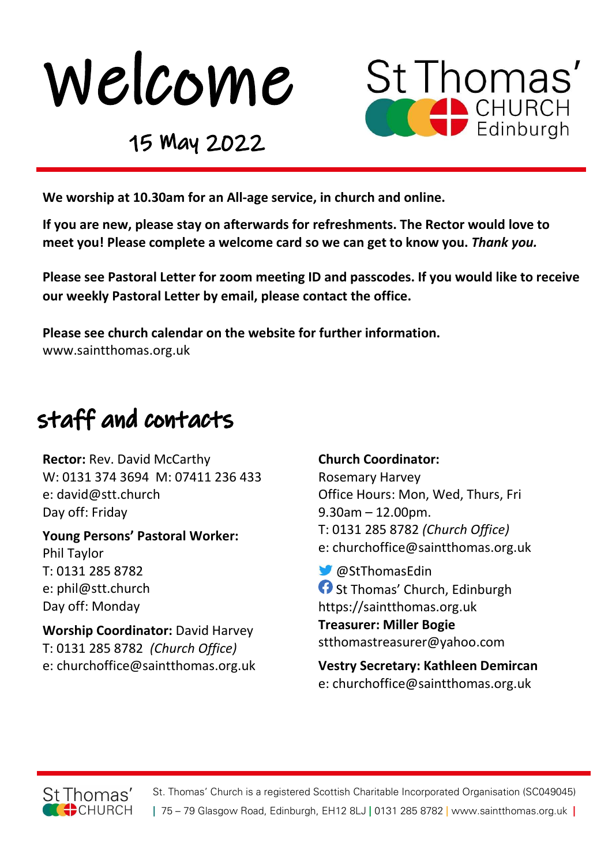



### 15 May 2022

We worship at 10.30am for an All-age service, in church and online.

If you are new, please stay on afterwards for refreshments. The Rector would love to meet you! Please complete a welcome card so we can get to know you. Thank you.

Please see Pastoral Letter for zoom meeting ID and passcodes. If you would like to receive our weekly Pastoral Letter by email, please contact the office.

Please see church calendar on the website for further information. www.saintthomas.org.uk

# staff and contacts

Rector: Rev. David McCarthy W: 0131 374 3694 M: 07411 236 433 e: david@stt.church Day off: Friday

Young Persons' Pastoral Worker: Phil Taylor T: 0131 285 8782 e: phil@stt.church Day off: Monday

Worship Coordinator: David Harvey T: 0131 285 8782 (Church Office) e: churchoffice@saintthomas.org.uk

#### Church Coordinator:

Rosemary Harvey Office Hours: Mon, Wed, Thurs, Fri 9.30am – 12.00pm. T: 0131 285 8782 (Church Office) e: churchoffice@saintthomas.org.uk

 @StThomasEdin **f** St Thomas' Church, Edinburgh https://saintthomas.org.uk Treasurer: Miller Bogie stthomastreasurer@yahoo.com

Vestry Secretary: Kathleen Demircan e: churchoffice@saintthomas.org.uk